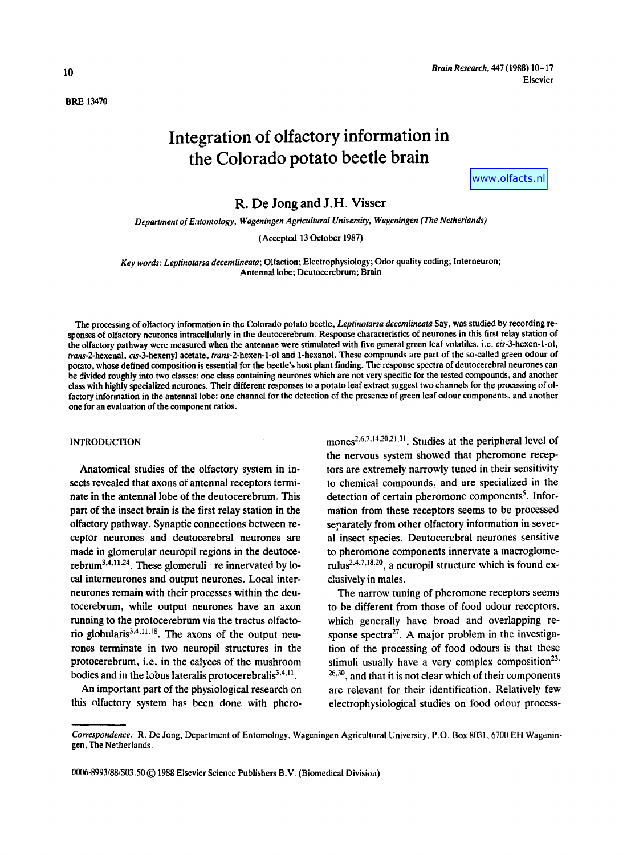# **Integration of olfactory information in the Colorado potato beetle brain**

www.olfacts.nl

**R. De Jong and J.H.** Visser

*Department of E.~tomology, Wageningen Agricultural University, Wageningen (The Netherlands)* 

(Accepted 13 October 1987)

*Key words: Leptinotarsa decemlineata;* Olfaction; Electrophysiology; Odor quality coding; Interneuron; Antennal lobe; Deutocerebrum; Brain

The processing of olfactory information in the Colorado potato beetle, *Leptinotarsa decemlineata* Say, was studied by recording responses of olfactory neurones intracellularly in the deutocerebrum. Response characteristics of neurones in this first relay station of **the** olfactory pathway were measured when the antennae were stimulated with five general green leaf volatiles, i.e. *cis-3-hexen-1-ol,*  trans-2-hexenal, cis-3-hexenyl acetate, *trans-2-hexen-1-ol and 1-hexanol*. These compounds are part of the so-called green odour of potato, whose defined composition is essential for the beetle's host plant finding. The response spectra of deutocerebral neurones can **be** divided roughly into two classes: one class containing neurones which are not very specific for the tested compounds, and another class with highly specialized neurones. Their different responses to a potato leaf extract suggest two channels for the processing of olfactory information in the antennal lobe: one channel for the detection of the presence of green leaf odour components, and another one for an evaluation of the component ratios.

#### INTRODUCTION

Anatomical studies of the olfactory system in insects revealed that axons of antennal receptors terminate in the antennai lobe of the deutocerebrum. This part of the insect brain is the first relay station in the olfactory pathway. Synaptic connections between receptor neurones and deutocerebral neurones are made in glomerular neuropil regions in the deutocerebrum<sup>3,4,11,24</sup>. These glomeruli  $\epsilon$  re innervated by local interneurones and output neurones. Local interneurones remain with their processes within the deutocerebrum, while output neurones have an axon running to the protocerebrum via the tractus olfactorio *globularis 3,4,t1,18. The* axons of the output neurones terminate in two neuropil structures in the protocerebrum, i.e. in the calyces of the mushroom bodies and in the lobus lateralis protocerebralis  $3,4,11$ .

An important part of the physiological research on this olfactory system has been done with pheromones<sup>2,6,7,14,20,21,31</sup>. Studies at the peripheral level of the nervous system showed that pheromone receptors are extremely narrowly tuned in their sensitivity to chemical compounds, and are specialized in the detection of certain pheromone components<sup>5</sup>. Information from these receptors seems to be processed separately from other olfactory information in several insect species. Deutocerebral neurones sensitive to pheromone components innervate a macroglomerulus<sup>2,4,7,18,20</sup>, a neuropil structure which is found exclusively in males.

The narrow tuning of pheromone receptors seems to be different from those of food odour receptors, which generally have broad and overlapping response spectra<sup>27</sup>. A major problem in the investigation of the processing of food odours is that these stimuli usually have a very complex composition<sup>23.</sup>  $26,30$ , and that it is not clear which of their components are relevant for their identification. Relatively few electrophysiological studies on food odour process-

BRE 13470

*Correspondence:* R. De Jong, Department of Entomology, Wageningen Agricultural University, P.O. Box 8031, 6700 EH Wageningen, The Netherlands.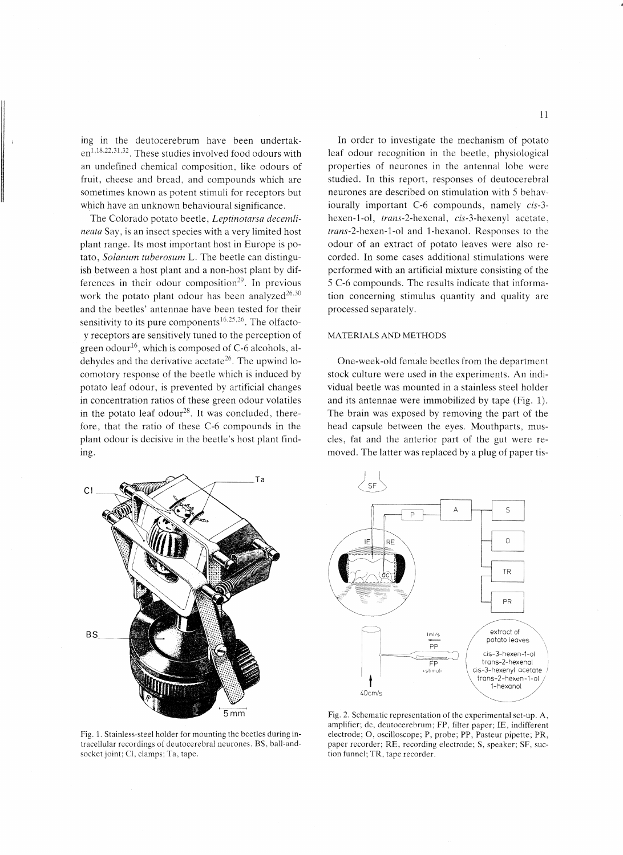mg in the deutocerebrum have been undertaken<sup>1,18,22,31,32</sup>. These studies involved food odours with an undefined chemical composition, like odours of fruit, cheese and bread, and compounds which are sometimes known as potent stimuli for receptors but which have an unknown behavioural significance.

I:

i

11

The Colorado potato beetle. *Leptinotarsa dcccmlineata* Say. is an insect species with a very limited host plant range. Its most important host in Europe is potato, *Solanum tuberosurn* L. The beetle can distinguish between a host plant and a non-host plant by differences in their odour composition<sup>29</sup>. In previous work the potato plant odour has been analyzed $26,30$ and the beetles' antennae have been tested for their sensitivity to its pure components  $16,25,26$ . The olfactoy receptors are sensitively tuned to the perception of green odour<sup>16</sup>, which is composed of C-6 alcohols, aldehydes and the derivative acctate<sup>26</sup>. The upwind locomotory response of the beetle which is induced by potato leaf odour. is prevented by artificial changes in concentration ratios of these green odour volatiles in the potato leaf odour<sup>28</sup>. It was concluded, therefore. that the ratio of these C-6 compounds in the plant odour is decisive in the beetle's host plant finding.

In order to investigate the mechanism of potato leaf odour recognition in the beetle, physiological properties of neurones in the antennal lobe were studied. In this report, responses of deutocerebral neurones are described on stimulation with 5 behaviourally important C-6 compounds, namely *cis-3·*  hexen-l-oL *trans-2-hexenal,* cis-3-hexenyl acetate. trans-2-hexen-l-ol and I-hexano!. Responses to the odour of an extract of potato leaves were also recorded. In some cases additional stimulations were performed with an artificial mixture consisting of the 5 C-6 compounds. The results indicate that information concerning stimulus quantity and quality are processed separately.

## MATERIALS AND METHODS

One-week-old female beetles from the department stock culture were used in the experiments. An individual beetle was mounted in a stainless steel holder and its antennae were immobilized by tape (Fig. 1). The brain was exposed by removing the part of the head capsule between the eyes. Mouthparts, muscles, fat and the anterior part of the gut were removed. The latter was replaced by a plug of paper tis-



Fig. 1. Stainless-steel holder for mounting the beetles during intracellular recordings of deutocerebral neurones. BS, ball-andsocket joint; Cl, clamps; Ta, tape.



Fig. 2. Schematic representation of the experimental set-up. A, amplifier; dc. deutocerebrum; FP, filter paper; IE, indifferent electrode; 0, oscilloscope; P, probe; PP, Pasteur pipette; PR, paper recorder; RE, recording electrode; S, speaker; SF, suction funnel; TR, tape recorder.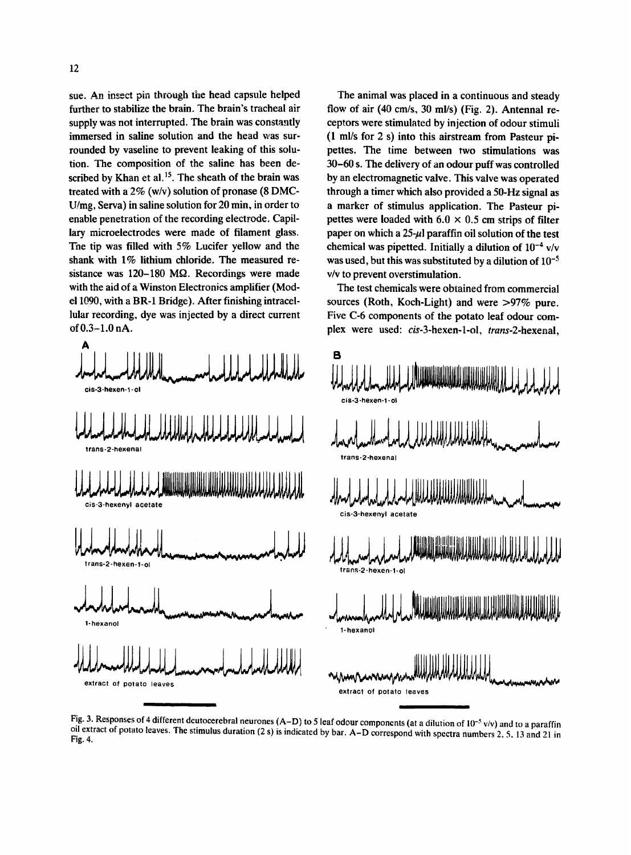12

sue. An insect pin through the head capsule helped further to stabilize the brain. The brain's tracheal air supply was not interrupted. The brain was constantly immersed in saline solution and the head was surrounded by vaseline to prevent leaking of this solution. The composition of the saline has been described by Khan et al.<sup>15</sup>. The sheath of the brain was treated with a 2% (w/v) solution of pronase (8 DMC-U/mg, Serva) in saline solution for  $20$  min, in order to enable penetration of the recording electrode. Capillary microelectrodes were made of filament glass. The tip was filled with 5% Lucifer yellow and the shank with 1% lithium chloride. The measured resistance was 120-180 M $\Omega$ . Recordings were made with the aid of a Winston Electronics amplifier (Model 1090, with a BR-1 Bridge). After finishing intracellular recording, dye was injected by a direct current of 0.3-1.0 nA.



The animal was placed in a continuous and steady flow of air (40 cm/s, 30 ml/s) (Fig. 2). Antennal receptors were stimulated by injection of odour stimuli (1 ml/s for 2 s) into this airstream from Pasteur pipettes. The time between two stimulations was 30-60 s. The delivery of an odour puff was controlled by an electromagnetic valve. This valve was operated through a timer which also provided a 50-Hz signal as a marker of stimulus application. The Pasteur pipettes were loaded with  $6.0 \times 0.5$  cm strips of filter paper on which a  $25-\mu$  paraffin oil solution of the test chemical was pipetted. Initially a dilution of  $10^{-4}$  v/v was used, but this was substituted by a dilution of  $10^{-5}$ v/v to prevent overstimulation.

The test chemicals were obtained from commercial sources (Roth, Koch-Light) and were >97% pure. Five C-6 components of the potato leaf odour complex were used: *cis-3-hexen-1-ol, trans-2-hexenal,* 



Fig. 3. Responses of 4 different deutocerebral neurones  $(A-D)$  to 5 leaf odour components (at a dilution of  $10^{-5}$  v/v) and to a paraffin oil extract of potato leaves. The stimulus duration (2 s) is indicated by bar. A-D correspond with spectra numbers 2, 5, 13 and 21 in Fig. 4.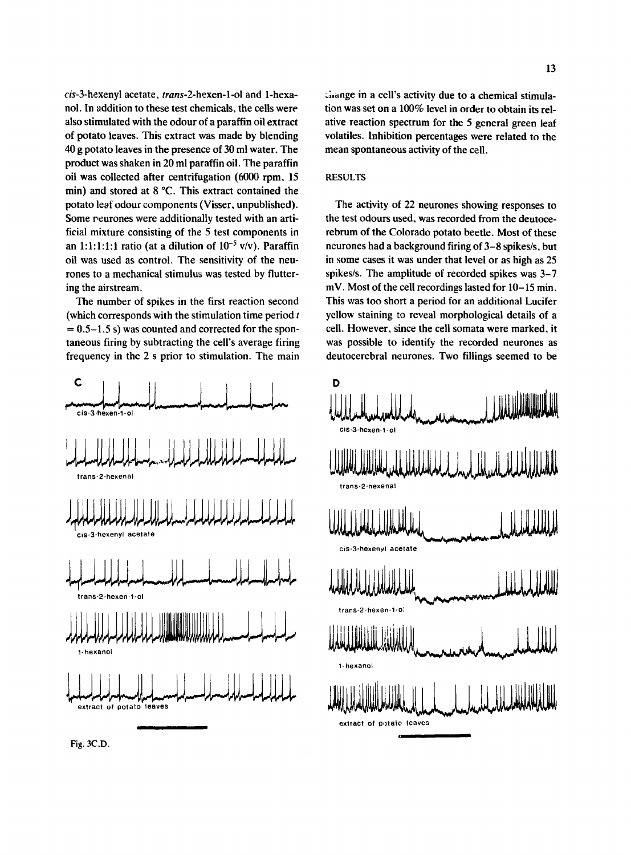*cis-3-hexenyl* acetate, *trans-2-hexen-l-ol* and 1-hexanol. In addition to these test chemicals, the cells were also stimulated with the odour of a paraffin oil extract of potato leaves. This extract was made by blending 40 g potato leaves in the presence of 30 ml water. The product was shaken in 20 ml paraffin oil. The paraffin oil was collected after centrifugation (6000 rpm, 15 min) and stored at  $8^{\circ}$ C. This extract contained the potato leaf odour components (Visser, unpublished). Some reurones were additionally tested with an artificial mixture consisting of the 5 test components in an 1:1:1:1:1 ratio (at a dilution of  $10^{-5}$  v/v). Paraffin oil was used as control. The sensitivity of the neutones to a mechanical stimulus was tested by fluttering the airstream.

The number of spikes in the first reaction second (which corresponds with the stimulation time period  $t$  $= 0.5-1.5$  s) was counted and corrected for the spontaneous firing by subtracting the cell's average firing frequency in the 2 s prior to stimulation. The main





## **RESULTS**

The activity of 22 neurones showing responses to the test odours used, was recorded from the deutocerebrum of the Colorado potato beetle. Most of these neurones had a background firing of 3-8 spikes/s, but in some cases it was under that level or as high as 25 spikes/s. The amplitude of recorded spikes was 3-7 mV. Most of the cell recordings lasted for 10-15 min. This was too short a period for an additional Lucifer yellow staining to reveal morphological details of a cell. However, since the cell somata were marked, it was possible to identify the recorded neurones as deutocerebral neurones. Two fillings seemed to be



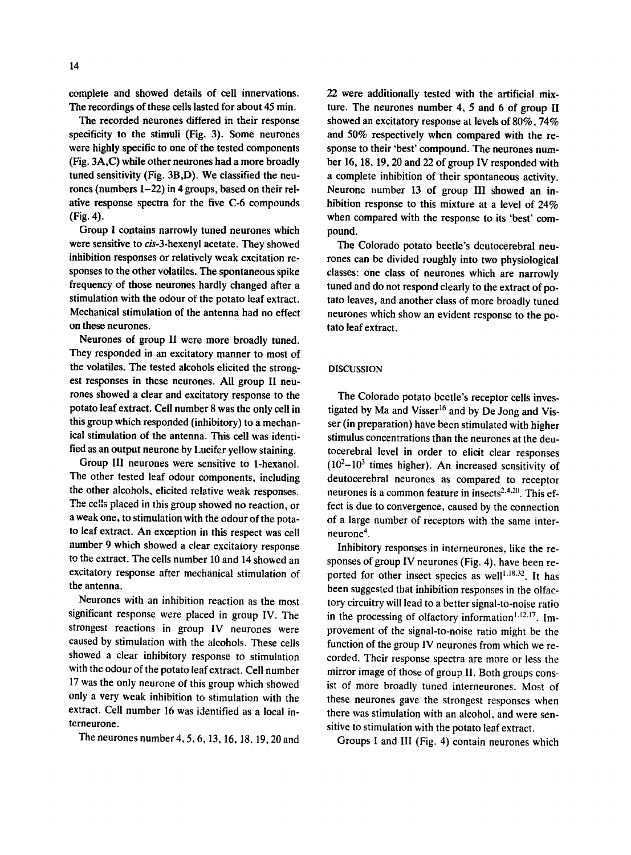complete and showed details of cell innervations. The recordings of these cells lasted for about 45 min.

The recorded neurones differed in their response specificity to the stimuli (Fig. 3). Some neurones were highly specific to one of the tested components (Fig. 3A,C) while other neurones had a more broadly tuned sensitivity (Fig. 3B,D). We classified the neurones (numbers 1-22) in 4 groups, based on their relative response spectra for the five C-6 compounds (Fig. 4).

Group I contains narrowly tuned neurones which were sensitive to cis-3-hexenyl acetate. They showed inhibition responses or relatively weak excitation responses to the other volatiles. The spontaneous spike frequency of those neurones hardly changed after a stimulation with the odour of the potato leaf extract. Mechanical stimulation of the antenna had no effect on these neurones.

Neurones of group II were more broadly tuned. They responded in an excitatory manner to most of the volatiles. The tested alcohols elicited the strongest responses in these neurones. All group II neutones showed a clear and excitatory response to the potato leaf extract. Cell number 8 was the only cell in this group which responded (inhibitory) to a mechanical stimulation of the antenna. This cell was identified as an output neurone by Lucifer yellow staining.

Group III neurones were sensitive to 1-hexanol. The other tested leaf odour components, including the other alcohols, elicited relative weak responses. The cells placed in this group showed no reaction, or a weak one, to stimulation with the odour of the potato leaf extract. An exception in this respect was cell number 9 which showed a clear excitatory response to the extract. The cells number 10 and 14 showed an excitatory response after mechanical stimulation of the antenna.

Neurones with an inhibition reaction as the most significant response were placed in group IV. The strongest reactions in group IV neurones were caused by stimulation with the alcohols. These cells showed a clear inhibitory response to stimulation with the odour of the potato leaf extract. Cell number 17 was the only neurone of this group which showed only a very weak inhibition to stimulation with the extract. Cell number 16 was identified as a local interneurone,

The neurones number 4, 5, 6, 13, 16, 18, 19, 20 and

22 were additionally tested with the artificial mixture. The neurones number 4, 5 and 6 of group II showed an excitatory response at levels of 80%, 74% and 50% respectively when compared with the response to their 'best' compound. The neurones number 16, 18, 19, 20 and 22 of group IV responded with a complete inhibition of their spontaneous activity. Neurone number 13 of group III showed an inhibition response to this mixture at a level of 24% when compared with the response to its 'best' compound.

The Colorado potato beetle's deutocerebral neurones can be divided roughly into two physiological classes: one class of neurones which are narrowly tuned and do not respond clearly to the extract of potato leaves, and another class of more broadly tuned neurones which show an evident response to the potato leaf extract.

## **DISCUSSION**

The Colorado potato beetle's receptor cells investigated by Ma and Visser<sup>16</sup> and by De Jong and Visser (in preparation) have been stimulated with higher stimulus concentrations than the neurones at the deutocerebral level in order to elicit clear responses  $(10^2-10^3$  times higher). An increased sensitivity of deutocerebral neurones as compared to receptor neurones is a common feature in insects<sup>2,4,20</sup>. This effect is due to convergence, caused by the connection of a large number of receptors with the same interneurone<sup>4</sup>.

Inhibitory responses in interneurones, like the responses of group IV neurones (Fig. 4), have been reported for other insect species as well<sup>1,18,32</sup>. It has been suggested that inhibition responses in the olfactory circuitry will lead to a better signal-to-noise ratio in the processing of olfactory information $1.12.17$ . Improvement of the signal-to-noise ratio might be the function of the group 1V neurones from which we recorded. Their response spectra are more or less the mirror image of those of group If. Both groups consist of more broadly tuned interneurones. Most of these neurones gave the strongest responses when there was stimulation with an alcohol, and were sensitive to stimulation with the potato leaf extract.

Groups I and III (Fig. 4) contain neurones which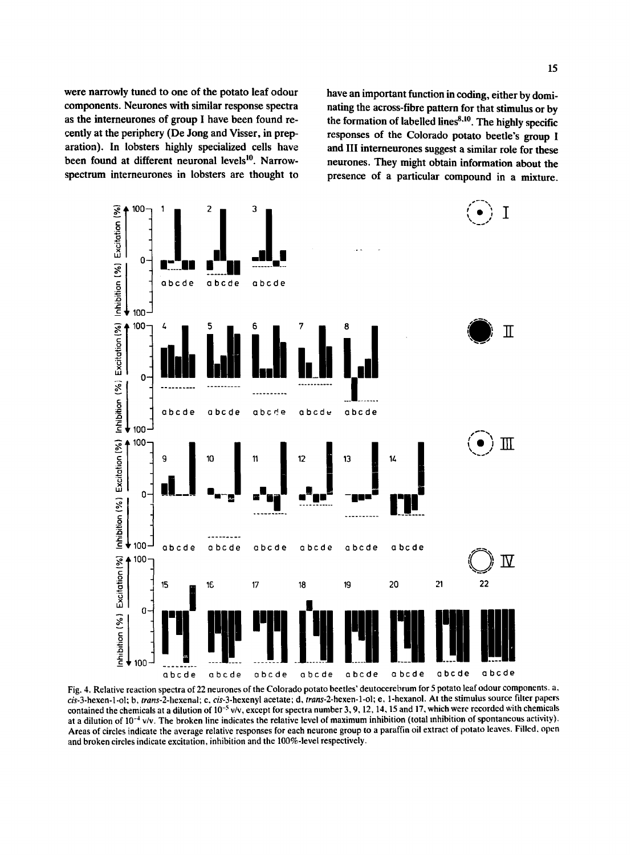were narrowly tuned to one of the potato leaf odour components. Neurones with similar response spectra as the interneurones of group I have been found recently at the periphery (De Jong and Visser, in preparation). In lobsters highly specialized cells have been found at different neuronal levels<sup>10</sup>. Narrowspectrum interneurones in lobsters are thought to have an important function in coding, either by dominating the across-fibre pattern for that stimulus or by the formation of labelled lines $8,10$ . The highly specific responses of the Colorado potato beetle's group I and III interneurones suggest a similar role for these neurones. They might obtain information about the presence of a particular compound in a mixture.



Fig. 4. Relative reaction spectra of 22 neurones of the Colorado potato beetles' deutocerebrum for 5 potato leaf odour components, a, *cis.3-hexen.l-ol;* b, *trans-2-hexenai;* c, *cis-3-hexenyl* acetate; d, *trans-2-hexen-l-ol;* e, l-hexanol. At the stimulus source filter papers contained the chemicals at a dilution of  $10^{-5}$  v/v, except for spectra number 3, 9, 12, 14, 15 and 17, which were recorded with chemicals at a dilution of  $10^{-4}$  v/v. The broken line indicates the relative level of maximum inhibition (total inhibition of spontaneous activity). Areas of circles indicate the average relative responses for each neurone group to a paraffin oil extract of potato leaves. Filled, open and broken circles indicate excitation, inhibition and the 100%-level respectively.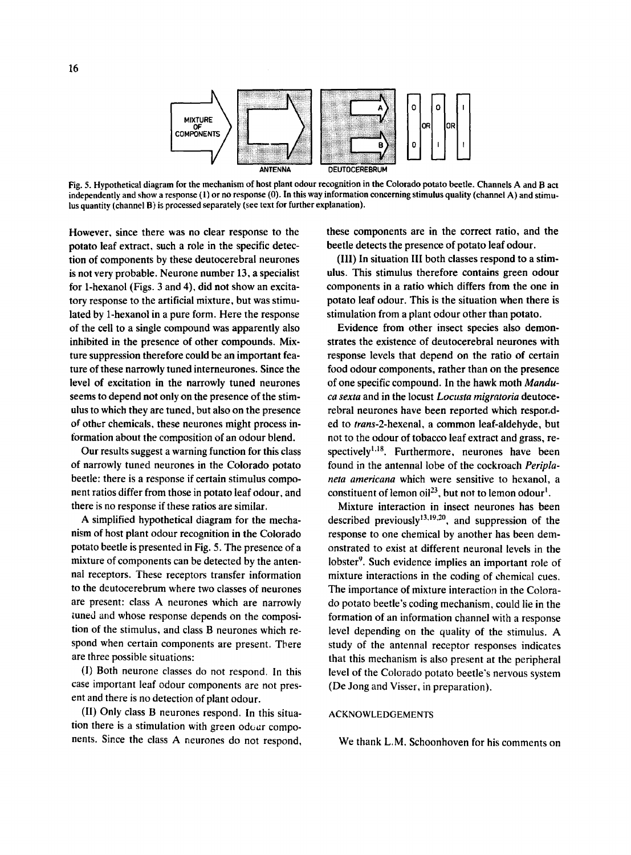

Fig. 5. Hypothetical diagram for the mechanism of host plant odour recognition in the Colorado potato beetle. Channels A and B act independently and show a response (i) or no response (0). In this way information concerning stimulus quality (channel A) and stimulus quantity (channel B) is processed separately (see text for further explanation).

However, since there was no clear response to the potato leaf extract, such a role in the specific detection of components by these deutocerebral neurones is not very probable. Neurone number 13, a specialist for 1-hexanol (Figs. 3 and 4), did not show an excitatory response to the artificial mixture, but was stimulated by 1-hexanol in a pure form. Here the response of the cell to a single compound was apparently also inhibited in the presence of other compounds. Mixture suppression therefore could be an important feature of these narrowly tuned interneurones. Since the level of excitation in the narrowly tuned neurones seems to depend not only on the presence of the stimulus to which they are tuned, but also on the presence of other chemicals, these neurones might process information about the composition of an odour blend.

Our results suggest a warning function for this class of narrowly tuned neurones in the Colorado potato beetle: there is a response if certain stimulus component ratios differ from those in potato leaf odour, and there is no response if these ratios are similar.

A simplified hypothetical diagram for the mechanism of host plant odour recognition in the Colorado potato beetle is presented in Fig. 5. The presence of a mixture of components can be detected by the antennai receptors. These receptors transfer information to the deutocerebrum where two classes of neurones are present: class A neurones which are narrowly tuned and whose response depends on the composition of the stimulus, and class B neurones which respond when certain components are present. There are three possible situations:

(I) Both neurone classes do not respond. In this case important leaf odour components are not present and there is no detection of plant odour.

(II) Only class B neurones respond. In this situation there is a stimulation with green odour components. Since the class A neurones do not respond, these components are in the correct ratio, and the beetle detects the presence of potato leaf odour.

(III) In situation III both classes respond to a stimulus. This stimulus therefore contains green odour components in a ratio which differs from the one in potato leaf odour. This is the situation when there is stimulation from a plant odour other than potato.

Evidence from other insect species also demonstrates the existence of deutocerebral neurones with response levels that depend on the ratio of certain food odour components, rather than on the presence of one specific compound. In the hawk moth *Manduca sexta* and in the locust *Locusta migratoria* deutocerebral neurones have been reported which responded to *trans-2-hexenal,* a common leaf-aldehyde, but not to the odour of tobacco leaf extract and grass, respectively<sup>1.18</sup>. Furthermore, neurones have been found in the antennal lobe of the cockroach *Periplaneta americana* which were sensitive to hexanol, a constituent of lemon oil<sup>23</sup>, but not to lemon odour<sup>1</sup>.

Mixture interaction in insect neurones has been described previously<sup>13,19,20</sup>, and suppression of the response to one chemical by another has been demonstrated to exist at different neuronal levels in the lobster<sup>9</sup>. Such evidence implies an important role of mixture interactions in the coding of chemical cues. The importance of mixture interaction in the Colorado potato beetle's coding mechanism, could lie in the formation of an information channel with a response level depending on the quality of the stimulus. A study of the antennal receptor responses indicates that this mechanism is also present at the peripheral level of the Colorado potato beetle's nervous system (De Jong and Visser, in preparation).

#### ACKNOWLEDGEMENTS

We thank L.M. Schoonhoven for his comments on